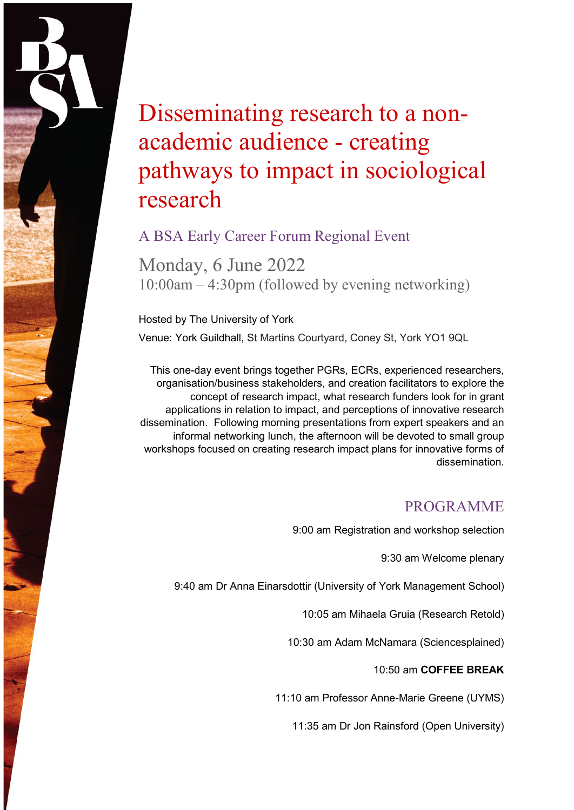# Disseminating research to a nonacademic audience - creating pathways to impact in sociological research

## A BSA Early Career Forum Regional Event

Monday, 6 June 2022 10:00am – 4:30pm (followed by evening networking)

Hosted by The University of York

Venue: York Guildhall, St Martins Courtyard, Coney St, York YO1 9QL

This one-day event brings together PGRs, ECRs, experienced researchers, organisation/business stakeholders, and creation facilitators to explore the concept of research impact, what research funders look for in grant applications in relation to impact, and perceptions of innovative research dissemination. Following morning presentations from expert speakers and an informal networking lunch, the afternoon will be devoted to small group workshops focused on creating research impact plans for innovative forms of dissemination.

## PROGRAMME

9:00 am Registration and workshop selection

9:30 am Welcome plenary

9:40 am Dr Anna Einarsdottir (University of York Management School)

10:05 am Mihaela Gruia (Research Retold)

10:30 am Adam McNamara (Sciencesplained)

### 10:50 am **COFFEE BREAK**

11:10 am Professor Anne-Marie Greene (UYMS)

11:35 am Dr Jon Rainsford (Open University)